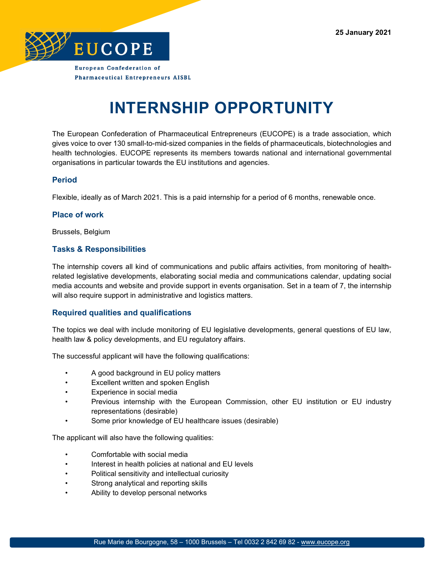

**Pharmaceutical Entrepreneurs AISBL** 

# **INTERNSHIP OPPORTUNITY**

The European Confederation of Pharmaceutical Entrepreneurs (EUCOPE) is a trade association, which gives voice to over 130 small-to-mid-sized companies in the fields of pharmaceuticals, biotechnologies and health technologies. EUCOPE represents its members towards national and international governmental organisations in particular towards the EU institutions and agencies.

### **Period**

Flexible, ideally as of March 2021. This is a paid internship for a period of 6 months, renewable once.

#### **Place of work**

Brussels, Belgium

### **Tasks & Responsibilities**

The internship covers all kind of communications and public affairs activities, from monitoring of healthrelated legislative developments, elaborating social media and communications calendar, updating social media accounts and website and provide support in events organisation. Set in a team of 7, the internship will also require support in administrative and logistics matters.

### **Required qualities and qualifications**

The topics we deal with include monitoring of EU legislative developments, general questions of EU law, health law & policy developments, and EU regulatory affairs.

The successful applicant will have the following qualifications:

- A good background in EU policy matters
- Excellent written and spoken English
- Experience in social media
- Previous internship with the European Commission, other EU institution or EU industry representations (desirable)
- Some prior knowledge of EU healthcare issues (desirable)

The applicant will also have the following qualities:

- Comfortable with social media
- Interest in health policies at national and EU levels
- Political sensitivity and intellectual curiosity
- Strong analytical and reporting skills
- Ability to develop personal networks